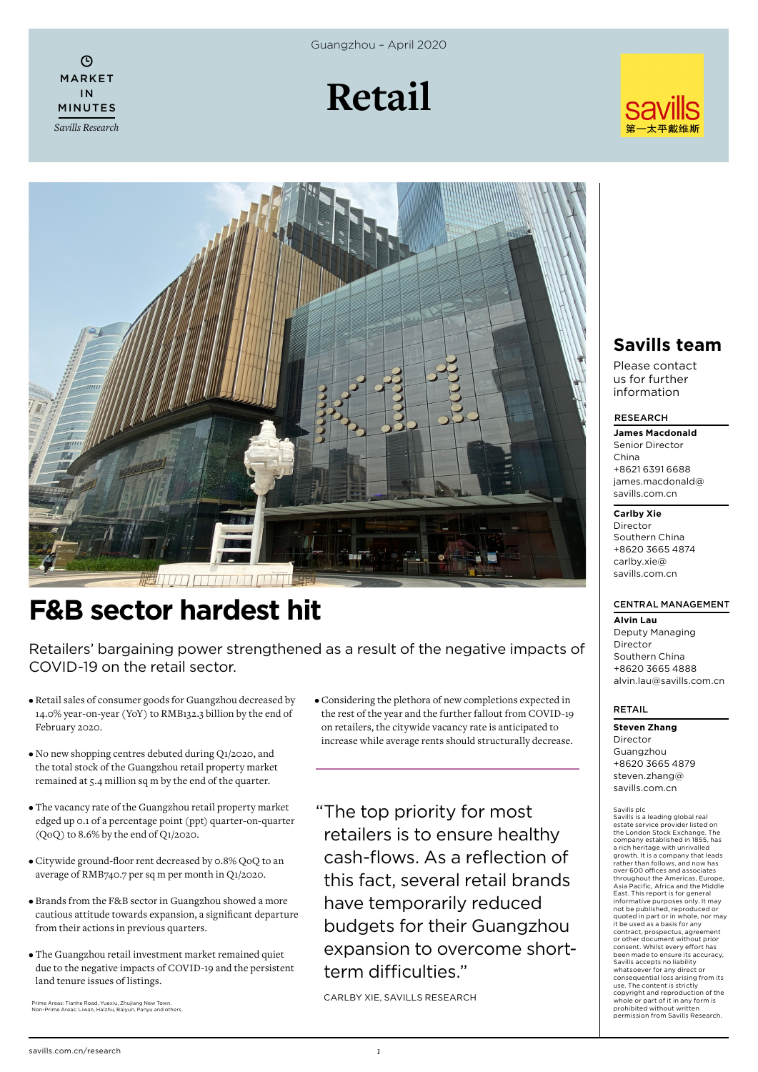$\odot$ MARKET IN MINUTES *Savills Research* Guangzhou – April 2020







# **F&B sector hardest hit**

Retailers' bargaining power strengthened as a result of the negative impacts of COVID-19 on the retail sector.

- Retail sales of consumer goods for Guangzhou decreased by 14.0% year-on-year (YoY) to RMB132.3 billion by the end of February 2020.
- No new shopping centres debuted during Q1/2020, and the total stock of the Guangzhou retail property market remained at 5.4 million sq m by the end of the quarter.
- The vacancy rate of the Guangzhou retail property market edged up 0.1 of a percentage point (ppt) quarter-on-quarter (QoQ) to 8.6% by the end of Q1/2020.
- Citywide ground-floor rent decreased by 0.8% QoQ to an average of RMB740.7 per sq m per month in Q1/2020.
- Brands from the F&B sector in Guangzhou showed a more cautious attitude towards expansion, a significant departure from their actions in previous quarters.
- The Guangzhou retail investment market remained quiet due to the negative impacts of COVID-19 and the persistent land tenure issues of listings.

Prime Areas: Tianhe Road, Yuexiu, Zhujiang New Town. Non-Prime Areas: Liwan, Haizhu, Baiyun, Panyu and others.

• Considering the plethora of new completions expected in the rest of the year and the further fallout from COVID-19 on retailers, the citywide vacancy rate is anticipated to increase while average rents should structurally decrease.

"The top priority for most retailers is to ensure healthy cash-flows. As a reflection of this fact, several retail brands have temporarily reduced budgets for their Guangzhou expansion to overcome shortterm difficulties."

CARLBY XIE, SAVILLS RESEARCH

# **Savills team**

Please contact us for further information

#### RESEARCH

**James Macdonald** Senior Director China +8621 6391 6688 james.macdonald@ savills.com.cn

#### **Carlby Xie**

Director Southern China +8620 3665 4874 carlby.xie@ savills.com.cn

## CENTRAL MANAGEMENT

**Alvin Lau** Deputy Managing Director Southern China +8620 3665 4888 alvin.lau@savills.com.cn

### RETAIL

Savills plc

**Steven Zhang** Director Guangzhou

+8620 3665 4879 steven.zhang@ savills.com.cn

Savills is a leading global real estate service provider listed on the London Stock Exchange. The company established in 1855, has a rich heritage with unrivalled growth. It is a company that leads rather than follows, and now has over 600 offices and associates throughout the Americas, Europe, Asia Pacific, Africa and the Middle East. This report is for general informative purposes only. It may not be published, reproduced or quoted in part or in whole, nor may it be used as a basis for any contract, prospectus, agreement or other document without prior consent. Whilst every effort has been made to ensure its accuracy, Savills accepts no liability whatsoever for any direct or<br>consequential loss arising from its<br>use. The content is strictly<br>copyright and reproduction of the<br>whole or part of it in any form is prohibited without written permission from Savills Research.